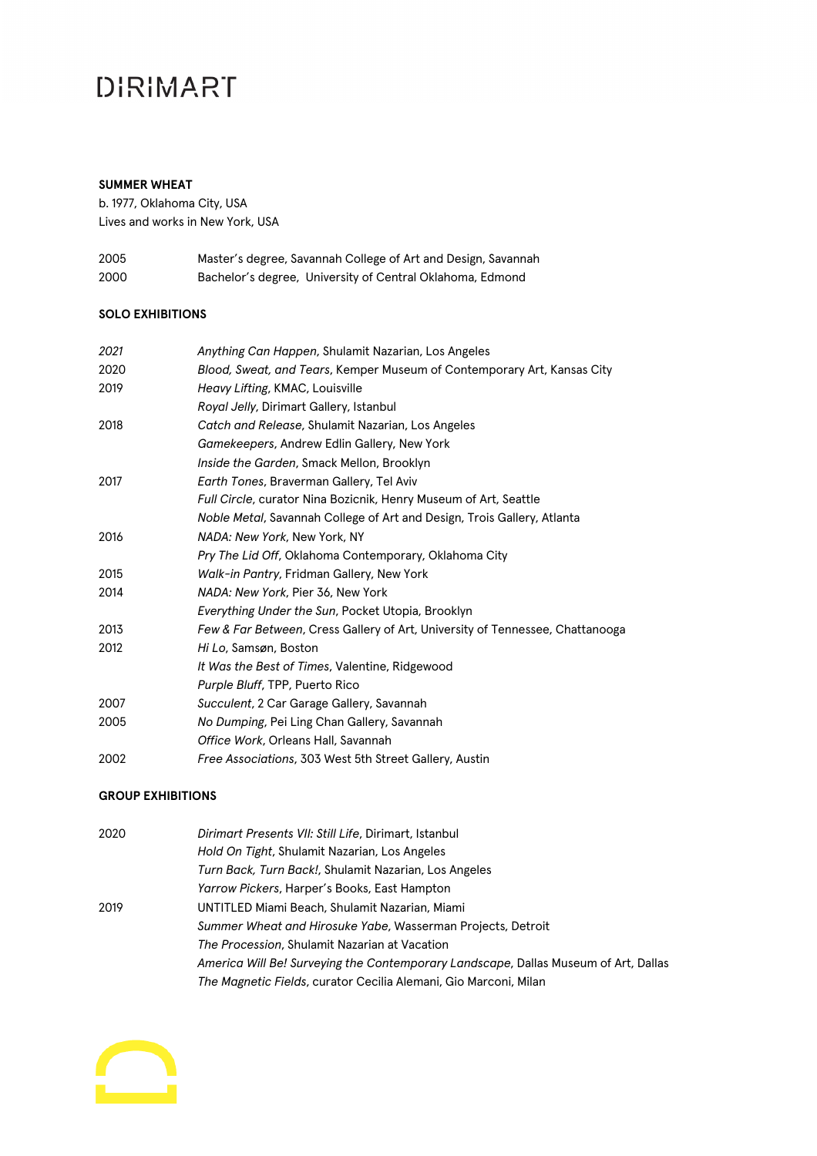### **DIRIMART**

#### **SUMMER WHEAT**

b. 1977, Oklahoma City, USA Lives and works in New York, USA

| 2005 | Master's degree, Savannah College of Art and Design, Savannah |
|------|---------------------------------------------------------------|
| 2000 | Bachelor's degree, University of Central Oklahoma, Edmond     |

### **SOLO EXHIBITIONS**

| 2021 | Anything Can Happen, Shulamit Nazarian, Los Angeles                           |
|------|-------------------------------------------------------------------------------|
| 2020 | Blood, Sweat, and Tears, Kemper Museum of Contemporary Art, Kansas City       |
| 2019 | Heavy Lifting, KMAC, Louisville                                               |
|      | Royal Jelly, Dirimart Gallery, Istanbul                                       |
| 2018 | Catch and Release, Shulamit Nazarian, Los Angeles                             |
|      | Gamekeepers, Andrew Edlin Gallery, New York                                   |
|      | Inside the Garden, Smack Mellon, Brooklyn                                     |
| 2017 | Earth Tones, Braverman Gallery, Tel Aviv                                      |
|      | Full Circle, curator Nina Bozicnik, Henry Museum of Art, Seattle              |
|      | Noble Metal, Savannah College of Art and Design, Trois Gallery, Atlanta       |
| 2016 | NADA: New York, New York, NY                                                  |
|      | Pry The Lid Off, Oklahoma Contemporary, Oklahoma City                         |
| 2015 | Walk-in Pantry, Fridman Gallery, New York                                     |
| 2014 | NADA: New York, Pier 36, New York                                             |
|      | Everything Under the Sun, Pocket Utopia, Brooklyn                             |
| 2013 | Few & Far Between, Cress Gallery of Art, University of Tennessee, Chattanooga |
| 2012 | Hi Lo, Samsøn, Boston                                                         |
|      | It Was the Best of Times, Valentine, Ridgewood                                |
|      | Purple Bluff, TPP, Puerto Rico                                                |
| 2007 | Succulent, 2 Car Garage Gallery, Savannah                                     |
| 2005 | No Dumping, Pei Ling Chan Gallery, Savannah                                   |
|      | Office Work, Orleans Hall, Savannah                                           |
| 2002 | Free Associations, 303 West 5th Street Gallery, Austin                        |

#### **GROUP EXHIBITIONS**

| 2020 | Dirimart Presents VII: Still Life, Dirimart, Istanbul                               |
|------|-------------------------------------------------------------------------------------|
|      | Hold On Tight, Shulamit Nazarian, Los Angeles                                       |
|      | Turn Back, Turn Back!, Shulamit Nazarian, Los Angeles                               |
|      | <i>Yarrow Pickers, Harper's Books, East Hampton</i>                                 |
| 2019 | UNTITLED Miami Beach, Shulamit Nazarian, Miami                                      |
|      | Summer Wheat and Hirosuke Yabe, Wasserman Projects, Detroit                         |
|      | <i>The Procession, Shulamit Nazarian at Vacation</i>                                |
|      | America Will Be! Surveying the Contemporary Landscape, Dallas Museum of Art, Dallas |
|      | The Magnetic Fields, curator Cecilia Alemani, Gio Marconi, Milan                    |
|      |                                                                                     |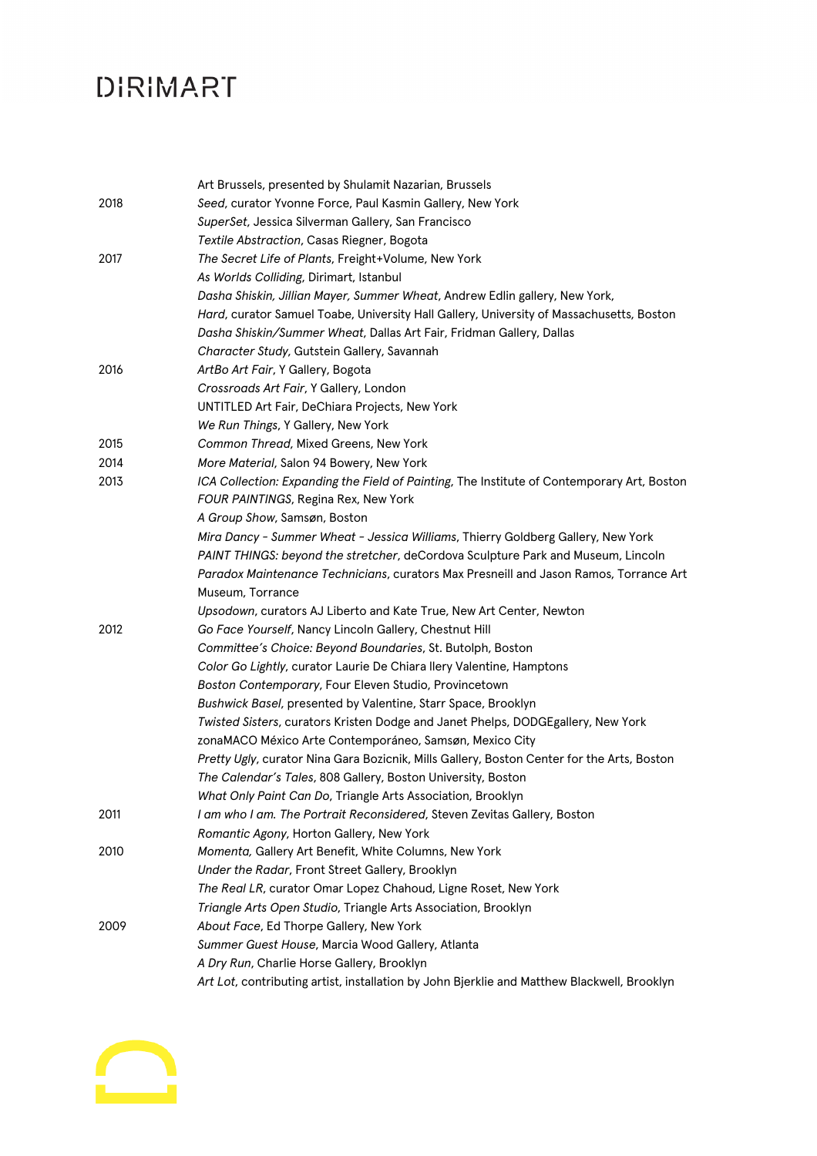# **DIRIMART**

|      | Art Brussels, presented by Shulamit Nazarian, Brussels                                      |
|------|---------------------------------------------------------------------------------------------|
| 2018 | Seed, curator Yvonne Force, Paul Kasmin Gallery, New York                                   |
|      | SuperSet, Jessica Silverman Gallery, San Francisco                                          |
|      | Textile Abstraction, Casas Riegner, Bogota                                                  |
| 2017 | The Secret Life of Plants, Freight+Volume, New York                                         |
|      | As Worlds Colliding, Dirimart, Istanbul                                                     |
|      | Dasha Shiskin, Jillian Mayer, Summer Wheat, Andrew Edlin gallery, New York,                 |
|      | Hard, curator Samuel Toabe, University Hall Gallery, University of Massachusetts, Boston    |
|      | Dasha Shiskin/Summer Wheat, Dallas Art Fair, Fridman Gallery, Dallas                        |
|      | Character Study, Gutstein Gallery, Savannah                                                 |
| 2016 | ArtBo Art Fair, Y Gallery, Bogota                                                           |
|      | Crossroads Art Fair, Y Gallery, London                                                      |
|      | UNTITLED Art Fair, DeChiara Projects, New York                                              |
|      | We Run Things, Y Gallery, New York                                                          |
| 2015 | Common Thread, Mixed Greens, New York                                                       |
| 2014 | More Material, Salon 94 Bowery, New York                                                    |
| 2013 | ICA Collection: Expanding the Field of Painting, The Institute of Contemporary Art, Boston  |
|      | FOUR PAINTINGS, Regina Rex, New York                                                        |
|      | A Group Show, Samsøn, Boston                                                                |
|      | Mira Dancy - Summer Wheat - Jessica Williams, Thierry Goldberg Gallery, New York            |
|      | PAINT THINGS: beyond the stretcher, deCordova Sculpture Park and Museum, Lincoln            |
|      | Paradox Maintenance Technicians, curators Max Presneill and Jason Ramos, Torrance Art       |
|      | Museum, Torrance                                                                            |
|      | Upsodown, curators AJ Liberto and Kate True, New Art Center, Newton                         |
| 2012 | Go Face Yourself, Nancy Lincoln Gallery, Chestnut Hill                                      |
|      | Committee's Choice: Beyond Boundaries, St. Butolph, Boston                                  |
|      | Color Go Lightly, curator Laurie De Chiara llery Valentine, Hamptons                        |
|      | Boston Contemporary, Four Eleven Studio, Provincetown                                       |
|      | Bushwick Basel, presented by Valentine, Starr Space, Brooklyn                               |
|      | Twisted Sisters, curators Kristen Dodge and Janet Phelps, DODGEgallery, New York            |
|      | zonaMACO México Arte Contemporáneo, Samsøn, Mexico City                                     |
|      | Pretty Ugly, curator Nina Gara Bozicnik, Mills Gallery, Boston Center for the Arts, Boston  |
|      | The Calendar's Tales, 808 Gallery, Boston University, Boston                                |
|      | What Only Paint Can Do, Triangle Arts Association, Brooklyn                                 |
| 2011 | I am who I am. The Portrait Reconsidered, Steven Zevitas Gallery, Boston                    |
|      | Romantic Agony, Horton Gallery, New York                                                    |
| 2010 | Momenta, Gallery Art Benefit, White Columns, New York                                       |
|      | Under the Radar, Front Street Gallery, Brooklyn                                             |
|      | The Real LR, curator Omar Lopez Chahoud, Ligne Roset, New York                              |
|      | Triangle Arts Open Studio, Triangle Arts Association, Brooklyn                              |
| 2009 | About Face, Ed Thorpe Gallery, New York                                                     |
|      | Summer Guest House, Marcia Wood Gallery, Atlanta                                            |
|      | A Dry Run, Charlie Horse Gallery, Brooklyn                                                  |
|      | Art Lot, contributing artist, installation by John Bjerklie and Matthew Blackwell, Brooklyn |